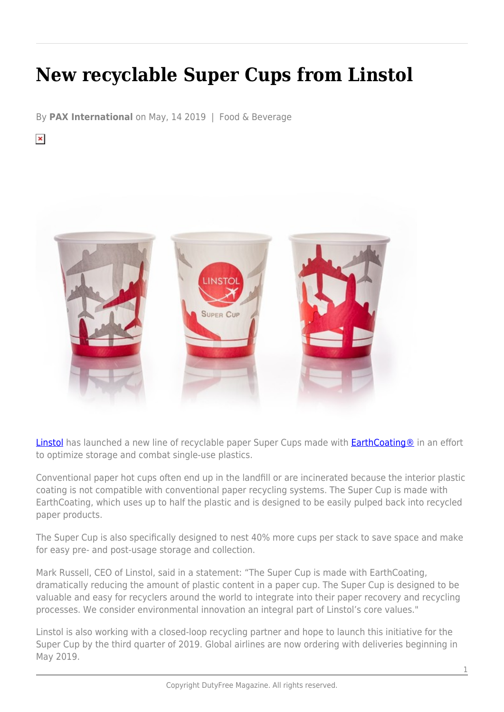## **New recyclable Super Cups from Linstol**

By **PAX International** on May, 14 2019 | Food & Beverage

 $\pmb{\times}$ 



[Linstol](http://linstol.com/) has launched a new line of recyclable paper Super Cups made with **EarthCoating®** in an effort to optimize storage and combat single-use plastics.

Conventional paper hot cups often end up in the landfill or are incinerated because the interior plastic coating is not compatible with conventional paper recycling systems. The Super Cup is made with EarthCoating, which uses up to half the plastic and is designed to be easily pulped back into recycled paper products.

The Super Cup is also specifically designed to nest 40% more cups per stack to save space and make for easy pre- and post-usage storage and collection.

Mark Russell, CEO of Linstol, said in a statement: "The Super Cup is made with EarthCoating, dramatically reducing the amount of plastic content in a paper cup. The Super Cup is designed to be valuable and easy for recyclers around the world to integrate into their paper recovery and recycling processes. We consider environmental innovation an integral part of Linstol's core values."

Linstol is also working with a closed-loop recycling partner and hope to launch this initiative for the Super Cup by the third quarter of 2019. Global airlines are now ordering with deliveries beginning in May 2019.